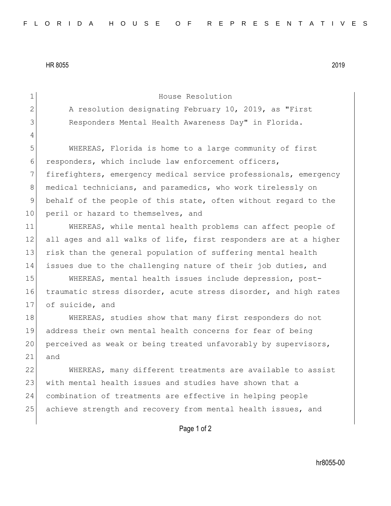HR 8055 2019

4

2 A resolution designating February 10, 2019, as "First 3 Responders Mental Health Awareness Day" in Florida.

1 House Resolution

5 WHEREAS, Florida is home to a large community of first 6 responders, which include law enforcement officers, 7 firefighters, emergency medical service professionals, emergency 8 medical technicians, and paramedics, who work tirelessly on 9 behalf of the people of this state, often without regard to the 10 peril or hazard to themselves, and

11 WHEREAS, while mental health problems can affect people of 12 all ages and all walks of life, first responders are at a higher 13 risk than the general population of suffering mental health 14 issues due to the challenging nature of their job duties, and

15 WHEREAS, mental health issues include depression, post-16 traumatic stress disorder, acute stress disorder, and high rates 17 of suicide, and

18 WHEREAS, studies show that many first responders do not 19 address their own mental health concerns for fear of being 20 perceived as weak or being treated unfavorably by supervisors, 21 and

22 WHEREAS, many different treatments are available to assist 23 with mental health issues and studies have shown that a 24 combination of treatments are effective in helping people 25 achieve strength and recovery from mental health issues, and

Page 1 of 2